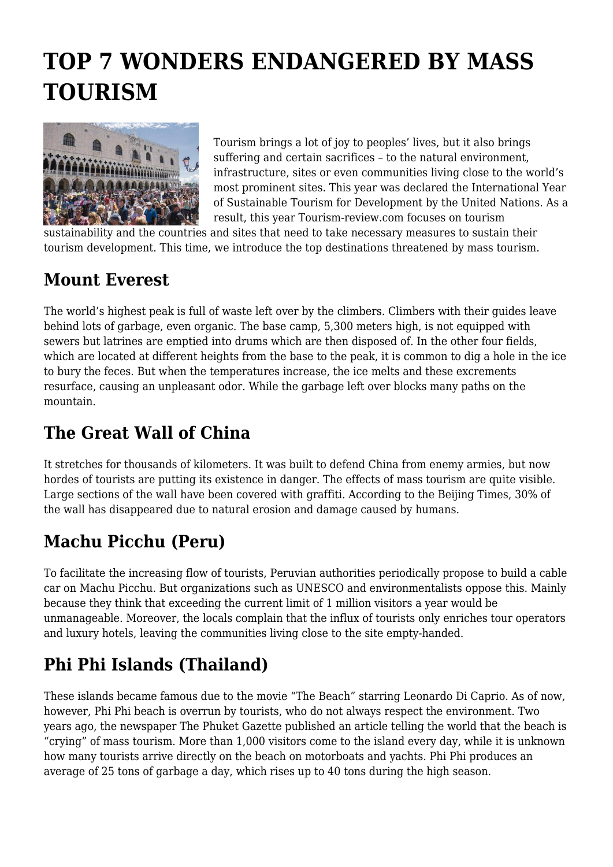# **TOP 7 WONDERS ENDANGERED BY MASS TOURISM**



Tourism brings a lot of joy to peoples' lives, but it also brings suffering and certain sacrifices – to the natural environment, infrastructure, sites or even communities living close to the world's most prominent sites. This year was declared the International Year of Sustainable Tourism for Development by the United Nations. As a result, this year Tourism-review.com focuses on tourism

sustainability and the countries and sites that need to take necessary measures to sustain their tourism development. This time, we introduce the top destinations threatened by mass tourism.

#### **Mount Everest**

The world's highest peak is full of waste left over by the climbers. Climbers with their guides leave behind lots of garbage, even organic. The base camp, 5,300 meters high, is not equipped with sewers but latrines are emptied into drums which are then disposed of. In the other four fields, which are located at different heights from the base to the peak, it is common to dig a hole in the ice to bury the feces. But when the temperatures increase, the ice melts and these excrements resurface, causing an unpleasant odor. While the garbage left over blocks many paths on the mountain.

### **The Great Wall of China**

It stretches for thousands of kilometers. It was built to defend China from enemy armies, but now hordes of tourists are putting its existence in danger. The effects of mass tourism are quite visible. Large sections of the wall have been covered with graffiti. According to the Beijing Times, 30% of the wall has disappeared due to natural erosion and damage caused by humans.

# **Machu Picchu (Peru)**

To facilitate the increasing flow of tourists, Peruvian authorities periodically propose to build a cable car on Machu Picchu. But organizations such as UNESCO and environmentalists oppose this. Mainly because they think that exceeding the current limit of 1 million visitors a year would be unmanageable. Moreover, the locals complain that the influx of tourists only enriches tour operators and luxury hotels, leaving the communities living close to the site empty-handed.

# **Phi Phi Islands (Thailand)**

These islands became famous due to the movie "The Beach" starring Leonardo Di Caprio. As of now, however, Phi Phi beach is overrun by tourists, who do not always respect the environment. Two years ago, the newspaper The Phuket Gazette published an article telling the world that the beach is "crying" of mass tourism. More than 1,000 visitors come to the island every day, while it is unknown how many tourists arrive directly on the beach on motorboats and yachts. Phi Phi produces an average of 25 tons of garbage a day, which rises up to 40 tons during the high season.